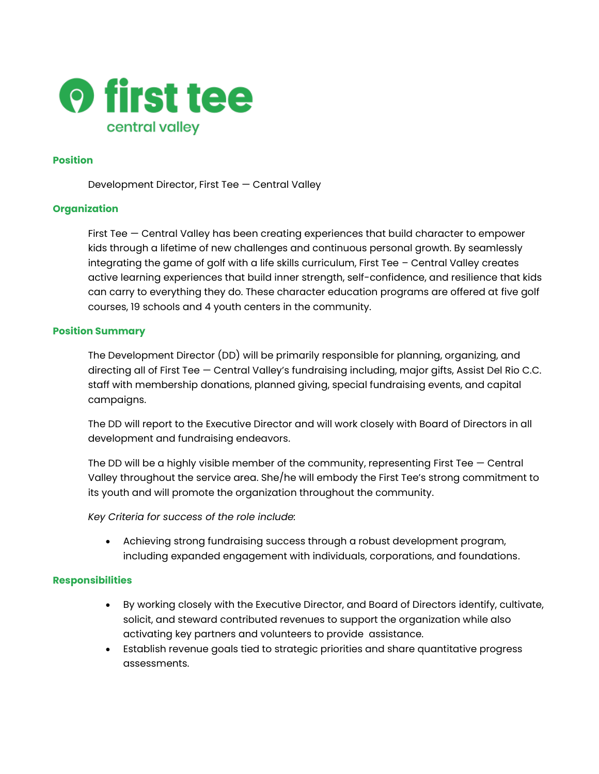

#### **Position**

Development Director, First Tee — Central Valley

### **Organization**

First Tee — Central Valley has been creating experiences that build character to empower kids through a lifetime of new challenges and continuous personal growth. By seamlessly integrating the game of golf with a life skills curriculum, First Tee – Central Valley creates active learning experiences that build inner strength, self-confidence, and resilience that kids can carry to everything they do. These character education programs are offered at five golf courses, 19 schools and 4 youth centers in the community.

#### **Position Summary**

The Development Director (DD) will be primarily responsible for planning, organizing, and directing all of First Tee — Central Valley's fundraising including, major gifts, Assist Del Rio C.C. staff with membership donations, planned giving, special fundraising events, and capital campaigns.

The DD will report to the Executive Director and will work closely with Board of Directors in all development and fundraising endeavors.

The DD will be a highly visible member of the community, representing First Tee  $-$  Central Valley throughout the service area. She/he will embody the First Tee's strong commitment to its youth and will promote the organization throughout the community.

*Key Criteria for success of the role include:*

• Achieving strong fundraising success through a robust development program, including expanded engagement with individuals, corporations, and foundations.

### **Responsibilities**

- By working closely with the Executive Director, and Board of Directors identify, cultivate, solicit, and steward contributed revenues to support the organization while also activating key partners and volunteers to provide assistance.
- Establish revenue goals tied to strategic priorities and share quantitative progress assessments.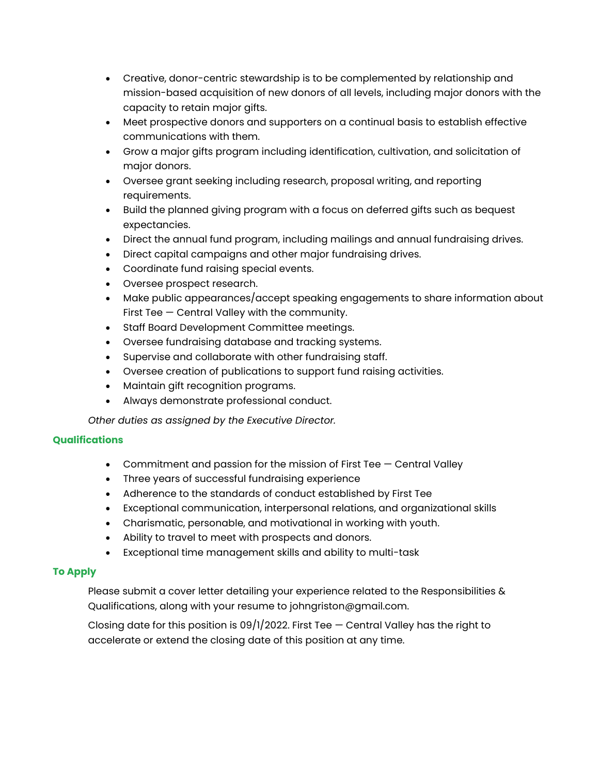- Creative, donor-centric stewardship is to be complemented by relationship and mission-based acquisition of new donors of all levels, including major donors with the capacity to retain major gifts.
- Meet prospective donors and supporters on a continual basis to establish effective communications with them.
- Grow a major gifts program including identification, cultivation, and solicitation of major donors.
- Oversee grant seeking including research, proposal writing, and reporting requirements.
- Build the planned giving program with a focus on deferred gifts such as bequest expectancies.
- Direct the annual fund program, including mailings and annual fundraising drives.
- Direct capital campaigns and other major fundraising drives.
- Coordinate fund raising special events.
- Oversee prospect research.
- Make public appearances/accept speaking engagements to share information about First Tee — Central Valley with the community.
- Staff Board Development Committee meetings.
- Oversee fundraising database and tracking systems.
- Supervise and collaborate with other fundraising staff.
- Oversee creation of publications to support fund raising activities.
- Maintain gift recognition programs.
- Always demonstrate professional conduct.

*Other duties as assigned by the Executive Director.*

### **Qualifications**

- Commitment and passion for the mission of First Tee  $-$  Central Valley
- Three years of successful fundraising experience
- Adherence to the standards of conduct established by First Tee
- Exceptional communication, interpersonal relations, and organizational skills
- Charismatic, personable, and motivational in working with youth.
- Ability to travel to meet with prospects and donors.
- Exceptional time management skills and ability to multi-task

## **To Apply**

Please submit a cover letter detailing your experience related to the Responsibilities & Qualifications, along with your resume to johngriston@gmail.com.

Closing date for this position is  $09/1/2022$ . First Tee  $-$  Central Valley has the right to accelerate or extend the closing date of this position at any time.